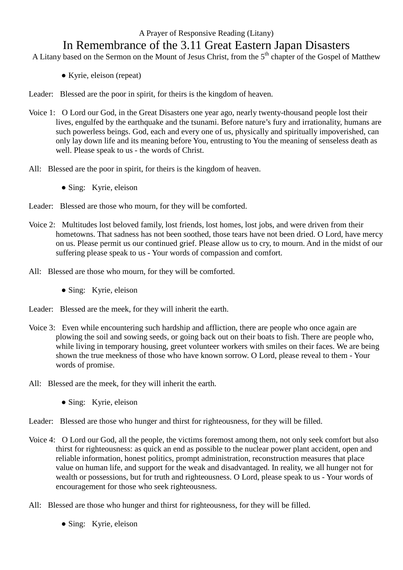## A Prayer of Responsive Reading (Litany) In Remembrance of the 3.11 Great Eastern Japan Disasters

- A Litany based on the Sermon on the Mount of Jesus Christ, from the  $5<sup>th</sup>$  chapter of the Gospel of Matthew
	- Kyrie, eleison (repeat)
- Leader: Blessed are the poor in spirit, for theirs is the kingdom of heaven.
- Voice 1: O Lord our God, in the Great Disasters one year ago, nearly twenty-thousand people lost their lives, engulfed by the earthquake and the tsunami. Before nature's fury and irrationality, humans are such powerless beings. God, each and every one of us, physically and spiritually impoverished, can only lay down life and its meaning before You, entrusting to You the meaning of senseless death as well. Please speak to us - the words of Christ.
- All: Blessed are the poor in spirit, for theirs is the kingdom of heaven.
	- Sing: Kyrie, eleison
- Leader: Blessed are those who mourn, for they will be comforted.
- Voice 2: Multitudes lost beloved family, lost friends, lost homes, lost jobs, and were driven from their hometowns. That sadness has not been soothed, those tears have not been dried. O Lord, have mercy on us. Please permit us our continued grief. Please allow us to cry, to mourn. And in the midst of our suffering please speak to us - Your words of compassion and comfort.
- All: Blessed are those who mourn, for they will be comforted.
	- Sing: Kyrie, eleison
- Leader: Blessed are the meek, for they will inherit the earth.
- Voice 3: Even while encountering such hardship and affliction, there are people who once again are plowing the soil and sowing seeds, or going back out on their boats to fish. There are people who, while living in temporary housing, greet volunteer workers with smiles on their faces. We are being shown the true meekness of those who have known sorrow. O Lord, please reveal to them - Your words of promise.
- All: Blessed are the meek, for they will inherit the earth.
	- Sing: Kyrie, eleison
- Leader: Blessed are those who hunger and thirst for righteousness, for they will be filled.
- Voice 4: O Lord our God, all the people, the victims foremost among them, not only seek comfort but also thirst for righteousness: as quick an end as possible to the nuclear power plant accident, open and reliable information, honest politics, prompt administration, reconstruction measures that place value on human life, and support for the weak and disadvantaged. In reality, we all hunger not for wealth or possessions, but for truth and righteousness. O Lord, please speak to us - Your words of encouragement for those who seek righteousness.
- All: Blessed are those who hunger and thirst for righteousness, for they will be filled.
	- Sing: Kyrie, eleison